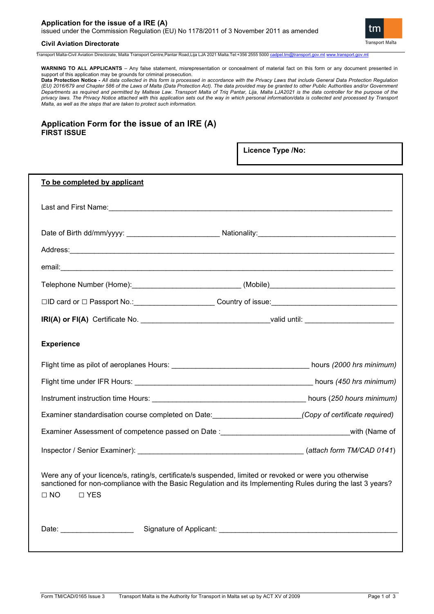# **Application for the issue of a IRE (A)**  issued under the Commission Regulation (EU) No 1178/2011 of 3 November 2011 as amended



# **Civil Aviation Directorate**

Transport Malta-Civil Aviation Directorate, Malta Transport Centre,Pantar Road,Lija LJA 2021 Malta.Tel:+356 2555 5000 [cadpel.tm@transport.gov.mt](mailto:cadpel.tm@transport.gov.mt) www.transport.gov.m

**WARNING TO ALL APPLICANTS** – Any false statement, misrepresentation or concealment of material fact on this form or any document presented in support of this application may be grounds for criminal prosecution.

**Data Protection Notice -** *All data collected in this form is processed in accordance with the Privacy Laws that include General Data Protection Regulation (EU) 2016/679 and Chapter 586 of the Laws of Malta (Data Protection Act). The data provided may be granted to other Public Authorities and/or Government Departments as required and permitted by Maltese Law. Transport Malta of Triq Pantar, Lija, Malta LJA2021 is the data controller for the purpose of the privacy laws. The Privacy Notice attached with this application sets out the way in which personal information/data is collected and processed by Transport Malta, as well as the steps that are taken to protect such information.*

# **Application Form for the issue of an IRE (A) FIRST ISSUE**

|                                                                                                                                                                                                                                                      | Licence Type /No: |
|------------------------------------------------------------------------------------------------------------------------------------------------------------------------------------------------------------------------------------------------------|-------------------|
| To be completed by applicant                                                                                                                                                                                                                         |                   |
|                                                                                                                                                                                                                                                      |                   |
|                                                                                                                                                                                                                                                      |                   |
|                                                                                                                                                                                                                                                      |                   |
|                                                                                                                                                                                                                                                      |                   |
|                                                                                                                                                                                                                                                      |                   |
|                                                                                                                                                                                                                                                      |                   |
|                                                                                                                                                                                                                                                      |                   |
| <b>Experience</b>                                                                                                                                                                                                                                    |                   |
|                                                                                                                                                                                                                                                      |                   |
|                                                                                                                                                                                                                                                      |                   |
|                                                                                                                                                                                                                                                      |                   |
|                                                                                                                                                                                                                                                      |                   |
| Examiner Assessment of competence passed on Date : examiner and annual computer with (Name of                                                                                                                                                        |                   |
| Inspector / Senior Examiner): (attach form TM/CAD 0141)                                                                                                                                                                                              |                   |
| Were any of your licence/s, rating/s, certificate/s suspended, limited or revoked or were you otherwise<br>sanctioned for non-compliance with the Basic Regulation and its Implementing Rules during the last 3 years?<br>$\Box$ NO<br>$\square$ YES |                   |
| Date: No. 1996                                                                                                                                                                                                                                       |                   |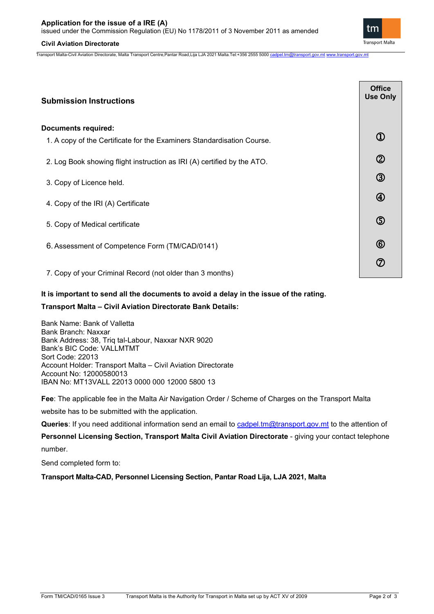# **Civil Aviation Directorate**

Transport Malta-Civil Aviation Directorate, Malta Transport Centre,Pantar Road,Lija LJA 2021 Malta.Tel:+356 2555 5000 [cadpel.tm@transport.gov.mt](mailto:cadpel.tm@transport.gov.mt) [www.transport.gov.mt](http://www.transport.gov.mt/)

| <b>Submission Instructions</b>                                          | <b>Office</b><br><b>Use Only</b> |
|-------------------------------------------------------------------------|----------------------------------|
| <b>Documents required:</b>                                              |                                  |
| 1. A copy of the Certificate for the Examiners Standardisation Course.  | $\textcircled{1}$                |
| 2. Log Book showing flight instruction as IRI (A) certified by the ATO. | $^{\circledR}$                   |
| 3. Copy of Licence held.                                                | $\circledS$                      |
| 4. Copy of the IRI (A) Certificate                                      | $^{\circledR}$                   |
| 5. Copy of Medical certificate                                          | $\circledS$                      |
| 6. Assessment of Competence Form (TM/CAD/0141)                          | $^{\circledR}$                   |
| 7. Copy of your Criminal Record (not older than 3 months)               | ⑦                                |

# **It is important to send all the documents to avoid a delay in the issue of the rating.**

# **Transport Malta – Civil Aviation Directorate Bank Details:**

Bank Name: Bank of Valletta Bank Branch: Naxxar Bank Address: 38, Triq tal-Labour, Naxxar NXR 9020 Bank's BIC Code: VALLMTMT Sort Code: 22013 Account Holder: Transport Malta – Civil Aviation Directorate Account No: 12000580013 IBAN No: MT13VALL 22013 0000 000 12000 5800 13

**Fee**: The applicable fee in the Malta Air Navigation Order / Scheme of Charges on the Transport Malta

website has to be submitted with the application.

**Queries**: If you need additional information send an email to [cadpel.tm@transport.gov.mt](mailto:cadpel.tm@transport.gov.mt) to the attention of

**Personnel Licensing Section, Transport Malta Civil Aviation Directorate** - giving your contact telephone number.

Send completed form to:

**Transport Malta-CAD, Personnel Licensing Section, Pantar Road Lija, LJA 2021, Malta**